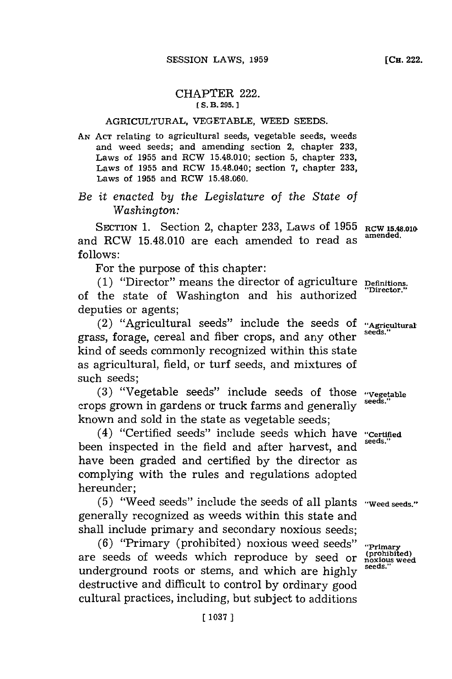## CHAPTER 222. **[ S. B. 295.]1**

## AGRICULTURAL, **VEGETABLE,** WEED **SEEDS.**

*AN* **ACT** relating to agricultural seeds, vegetable seeds, weeds and weed seeds; and amending section 2, chapter **233,** Laws of **1955** and RCW 15.48.010; section **5,** chapter **233,** Laws of **1955** and RCW 15.48.040; section **7,** chapter **233,** Laws of **1955** and RCW **15.48.060.**

## *Be it enacted by the Legislature of the State of Washington:*

SECTION 1. Section 2, chapter 233, Laws of 1955 RCW 15.48.010 and RCW 15.48.010 are each amended to read as **follows:**

For the purpose of this chapter:

**(1)** "Director" means the director of agriculture **Definitions.** of the state of Washington and his authorized deputies or agents;

(2) "Agricultural seeds" include the seeds **Of "Agricultural** grass, forage, cereal and fiber crops, and any other kind of seeds commonly recognized within this state as agricultural, field, or turf seeds, and mixtures of such seeds;

**(3)** "Vegetable seeds" include seeds of those **"Vegetable** crops grown in gardens or truck farms and generally **seeds."** known and sold in the state as vegetable seeds;

(4) "Certified seeds" include seeds which have **"Certified** been inspected in the field and after harvest, and have been graded and certified **by** the director as complying with the rules and regulations adopted hereunder;

**(5)** "Weed seeds" include the seeds of all plants **"Weed seeds."** generally recognized as weeds within this state and shall include primary and secondary noxious seeds'

(6) **"Primary (prohibited) noxious weed seeds" "Prim (prohibited)** are seeds of weeds which reproduce **by** seed or **noxious weed** underground roots or stems, and which are **highly seeds."** destructive and difficult to control **by** ordinary good cultural practices, including, but subject to additions

**[CH.** 222.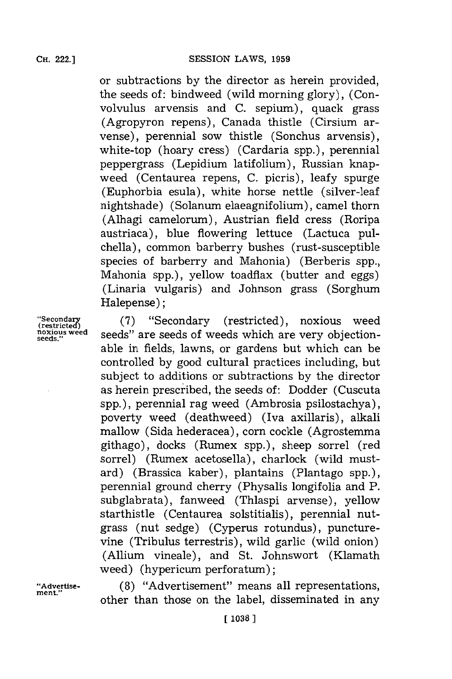or subtractions **by** the director as herein provided, the seeds of: bindweed (wild morning glory), (Convolvulus arvensis and **C.** sepium), quack grass (Agropyron repens), Canada thistle (Cirsium arvense), perennial sow thistle (Sonchus arvensis), white-top (hoary cress) (Cardaria spp.), perennial peppergrass (Lepidium latifolium), Russian knapweed (Centaurea repens, **C.** picris), leafy spurge (Euphorbia esula), white horse nettle (silver-leaf nightshade) (Solanum elaeagnifolium), camel thorn (Alhagi camelorum), Austrian field cress (Roripa austriaca), blue flowering lettuce (Lactuca pulchella), common barberry bushes (rust-susceptible species of barberry and Mahonia) (Berberis spp., Mahonia spp.), yellow toadflax (butter and eggs) (Linaria vulgaris) and Johnson grass (Sorghum Halepense):

"Secondary (7) "Secondary (restricted), noxious weed noxious weed seeds" are seeds of weeds which are very objectionable in fields, lawns, or gardens but which can be controlled **by** good cultural practices including, but subject to additions or subtractions **by** the director as herein prescribed, the seeds of: Dodder (Cuscuta spp.), perennial rag weed (Ambrosia psilostachya), poverty weed (deathweed) (Iva axillaris), alkali mallow (Sida hederacea), corn cockle (Agrostemma githago), docks (Rumex spp.), sheep sorrel (red sorrel) (Rumex acetosella), charlock (wild mustard) (Brassica kaber), plantains (Plantago spp.), perennial ground cherry (Physalis longifolia and P. subglabrata), fanweed (Thiaspi arvense), yellow starthistle (Centaurea soistitialis), perennial nutgrass (nut sedge) (Cyperus rotundus), puncturevine (Tribulus terrestris), wild garlic (wild onion) (Allium. vineale), and St. Johnswort (Klamath weed) (hypericum perforatum);

**"Advertise- (8)** "Advertisement" means all representations, other than those on the label, disseminated in any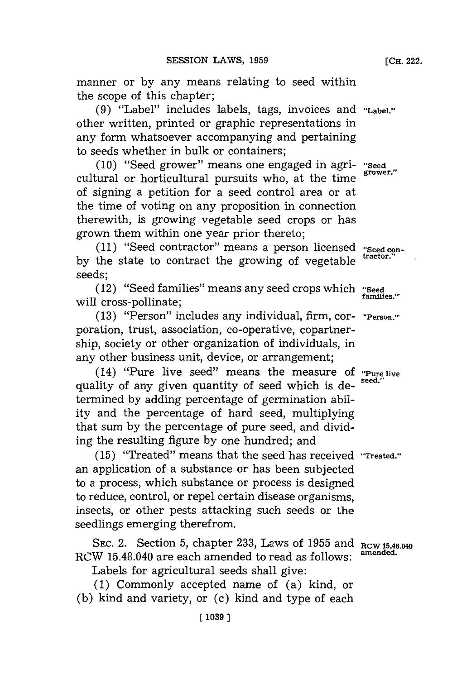manner or **by** any means relating to seed within the scope of this chapter;

**(9)** "Label" includes labels, tags, invoices and **"Label."** other written, printed or graphic representations in any form whatsoever accompanying and pertaining to seeds whether in bulk or containers;

**(10)** "Seed grower" means one engaged in agri- **"Seed** cultural or horticultural pursuits who, at the time of signing a petition for a seed control area or at the time of voting on any proposition in connection therewith, is growing vegetable seed crops or. has grown them within one year prior thereto;

**(11)** "Seed contractor" means a person licensed **"Seed conby** the state to contract the growing of vegetable **tatr** seeds;

(12) "Seed families" means any seed crops which **"Seed** will cross-pollinate; **families**.

**(13)** "Person" includes any individual, firm, cor- **-Person."~** poration, trust, association, co-operative, copartnership, society or other organization of individuals, in any other business unit, device, or arrangement;

(14) "Pure live seed" means the measure **Of "Pure live** quality of any given quantity of seed which is determined **by** adding percentage of germination ability and the percentage of hard seed, multiplying that sum **by** the percentage of pure seed, and dividing the resulting figure **by** one hundred; and

**(15)** "Treated" means that the seed has received *"Treated."'* an application of a substance or has been subjected to a process, which substance or process is designed to reduce, control, or repel certain disease organisms, insects, or other pests attacking such seeds or the seedlings emerging therefrom.

SEC. 2. Section 5, chapter 233, Laws of  $1955$  and  $RCW15.48.040$ <br> $W15.49.040$  are so also provided to use also follows amended. RCW 15.48.040 are each amended to read as follows:

Labels for agricultural seeds shall give:

**(1)** Commonly accepted name of (a) kind, or **(b)** kind and variety, or (c) kind and type of each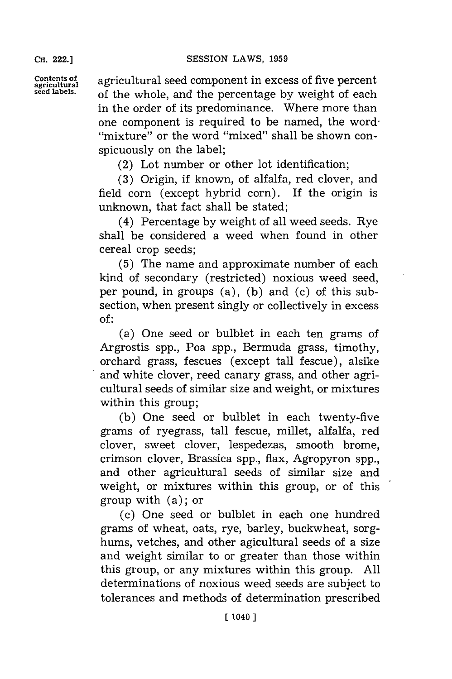**CH.** 222.1

**Contents of** agricultural seed component in excess of five percent agricultural seed abels.<br>
agricultural seed abels. **seed labels.** of the whole, and the percentage **by** weight of each in the order of its predominance. Where more than one component is required to be named, the word "mixture" or the word "mixed" shall be shown conspicuously on the label;

(2) Lot number or other lot identification;

**(3)** Origin, if known, of alfalfa, red clover, and field corn (except hybrid corn). If the origin is unknown, that fact shall be stated;

(4) Percentage **by** weight of all weed seeds. Rye shall be considered a weed when found in other cereal crop seeds;

**(5)** The name and approximate number of each kind of secondary (restricted) noxious weed seed, per pound, in groups (a), **(b)** and (c) of this subsection, when present singly or collectively in excess **of:**

(a) One seed or bulblet in each ten grams of Argrostis spp., Poa spp., Bermuda grass, timothy, orchard grass, fescues (except tall fescue), alsike and white clover, reed canary grass, and other agricultural seeds of similar size and weight, or mixtures within this group;

**(b)** One seed or bulblet in each twenty-five grams of ryegrass, tall fescue, millet, alfalfa, red clover, sweet clover, lespedezas, smooth brome, crimson clover, Brassica spp., flax, Agropyron spp., and other agricultural seeds of similar size and weight, or mixtures within this group, or of this group with (a); or

(c) One seed or buiblet in each one hundred grams of wheat, oats, rye, barley, buckwheat, sorghums, vetches, and other agicultural seeds of a size and weight similar to or greater than those within this group, or any mixtures within this group. **All** determinations of noxious weed seeds are subject to tolerances and methods of determination prescribed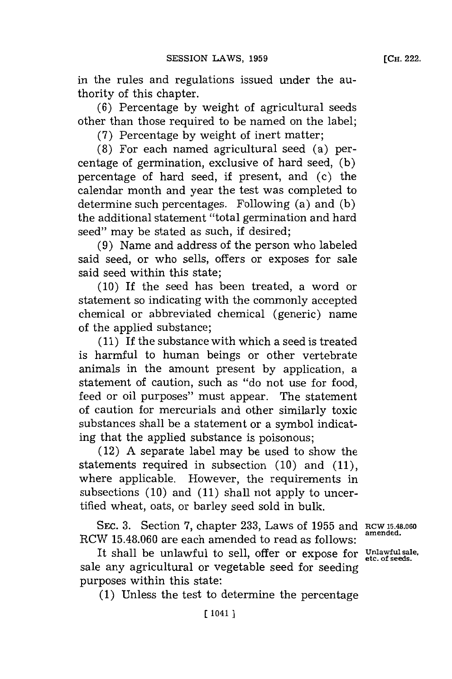in the rules and regulations issued under the authority of this chapter.

**(6)** Percentage **by** weight of agricultural seeds other than those required to be named on the label;

**(7)** Percentage **by** weight of inert matter;

**(8)** For each named agricultural seed (a) percentage of germination, exclusive of hard seed, **(b)** percentage of hard seed, if present, and (c) the calendar month and year the test was completed to determine such percentages. Following (a) and **(b)** the additional statement "total germination and hard seed" may be stated as such, if desired;

**(9)** Name and address of the person who labeled said seed, or who sells, offers or exposes for sale said seed within this state;

**(10)** If the seed has been treated, a word or statement so indicating with the commonly accepted chemical or abbreviated chemical (generic) name of the applied substance;

**(11)** If the substance with which a seed is treated is harmful to human beings or other vertebrate animals in the amount present **by** application, a statement of caution, such as "do not use for food, feed or oil purposes" must appear. The statement of caution for mercurials and other similarly toxic substances shall be a statement or a symbol indicating that the applied substance is poisonous;

(12) **A** separate label may be used to show the statements required in subsection **(10)** and **(11),** where applicable. However, the requirements in subsections **(10)** and **(11)** shall not apply to uncertified wheat, oats, or barley seed sold in bulk.

SEC. **3.** Section **7,** chapter **233,** Laws of **1955** and **RCW 15.48.060 amended.** RCW **15.48.060** are each amended to read as **follows:**

It shall be unlawful to sell, offer or expose for **Unlawful sale**, of seeds. sale any agricultural or vegetable seed for seeding purposes within this state:

**(1)** Unless the test to determine the percentage